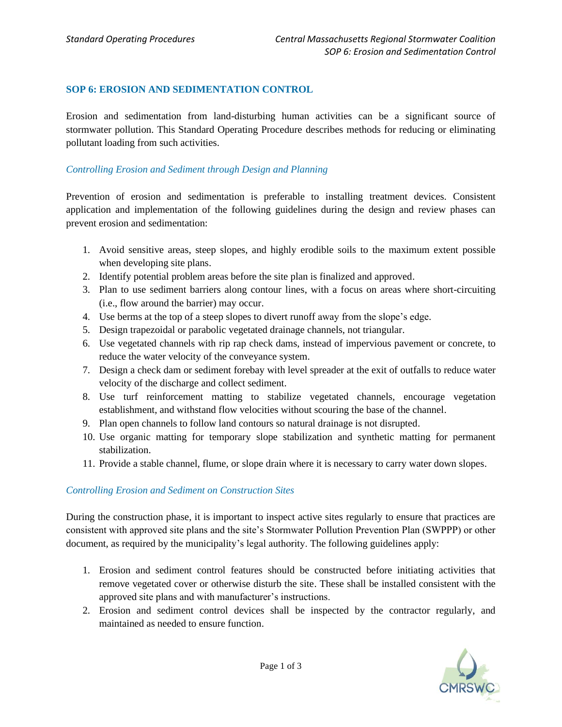### **SOP 6: EROSION AND SEDIMENTATION CONTROL**

Erosion and sedimentation from land-disturbing human activities can be a significant source of stormwater pollution. This Standard Operating Procedure describes methods for reducing or eliminating pollutant loading from such activities.

### *Controlling Erosion and Sediment through Design and Planning*

Prevention of erosion and sedimentation is preferable to installing treatment devices. Consistent application and implementation of the following guidelines during the design and review phases can prevent erosion and sedimentation:

- 1. Avoid sensitive areas, steep slopes, and highly erodible soils to the maximum extent possible when developing site plans.
- 2. Identify potential problem areas before the site plan is finalized and approved.
- 3. Plan to use sediment barriers along contour lines, with a focus on areas where short-circuiting (i.e., flow around the barrier) may occur.
- 4. Use berms at the top of a steep slopes to divert runoff away from the slope's edge.
- 5. Design trapezoidal or parabolic vegetated drainage channels, not triangular.
- 6. Use vegetated channels with rip rap check dams, instead of impervious pavement or concrete, to reduce the water velocity of the conveyance system.
- 7. Design a check dam or sediment forebay with level spreader at the exit of outfalls to reduce water velocity of the discharge and collect sediment.
- 8. Use turf reinforcement matting to stabilize vegetated channels, encourage vegetation establishment, and withstand flow velocities without scouring the base of the channel.
- 9. Plan open channels to follow land contours so natural drainage is not disrupted.
- 10. Use organic matting for temporary slope stabilization and synthetic matting for permanent stabilization.
- 11. Provide a stable channel, flume, or slope drain where it is necessary to carry water down slopes.

### *Controlling Erosion and Sediment on Construction Sites*

During the construction phase, it is important to inspect active sites regularly to ensure that practices are consistent with approved site plans and the site's Stormwater Pollution Prevention Plan (SWPPP) or other document, as required by the municipality's legal authority. The following guidelines apply:

- 1. Erosion and sediment control features should be constructed before initiating activities that remove vegetated cover or otherwise disturb the site. These shall be installed consistent with the approved site plans and with manufacturer's instructions.
- 2. Erosion and sediment control devices shall be inspected by the contractor regularly, and maintained as needed to ensure function.

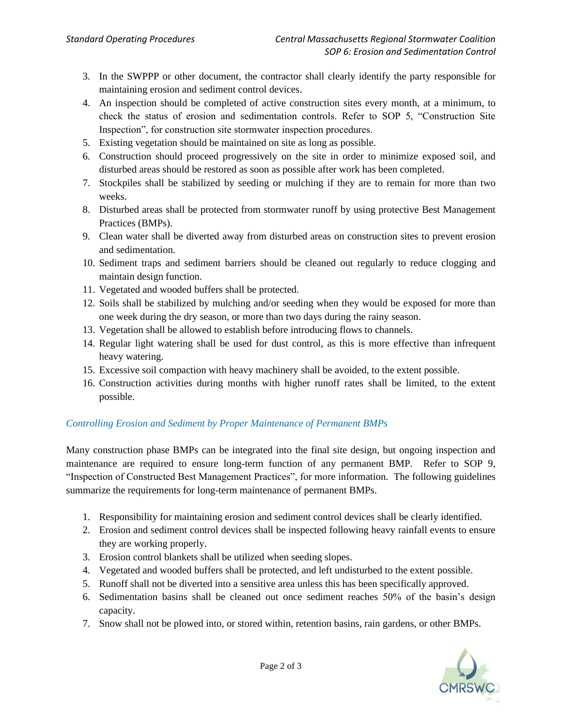- 3. In the SWPPP or other document, the contractor shall clearly identify the party responsible for maintaining erosion and sediment control devices.
- 4. An inspection should be completed of active construction sites every month, at a minimum, to check the status of erosion and sedimentation controls. Refer to SOP 5, "Construction Site Inspection", for construction site stormwater inspection procedures.
- 5. Existing vegetation should be maintained on site as long as possible.
- 6. Construction should proceed progressively on the site in order to minimize exposed soil, and disturbed areas should be restored as soon as possible after work has been completed.
- 7. Stockpiles shall be stabilized by seeding or mulching if they are to remain for more than two weeks.
- 8. Disturbed areas shall be protected from stormwater runoff by using protective Best Management Practices (BMPs).
- 9. Clean water shall be diverted away from disturbed areas on construction sites to prevent erosion and sedimentation.
- 10. Sediment traps and sediment barriers should be cleaned out regularly to reduce clogging and maintain design function.
- 11. Vegetated and wooded buffers shall be protected.
- 12. Soils shall be stabilized by mulching and/or seeding when they would be exposed for more than one week during the dry season, or more than two days during the rainy season.
- 13. Vegetation shall be allowed to establish before introducing flows to channels.
- 14. Regular light watering shall be used for dust control, as this is more effective than infrequent heavy watering.
- 15. Excessive soil compaction with heavy machinery shall be avoided, to the extent possible.
- 16. Construction activities during months with higher runoff rates shall be limited, to the extent possible.

# *Controlling Erosion and Sediment by Proper Maintenance of Permanent BMPs*

Many construction phase BMPs can be integrated into the final site design, but ongoing inspection and maintenance are required to ensure long-term function of any permanent BMP. Refer to SOP 9, "Inspection of Constructed Best Management Practices", for more information. The following guidelines summarize the requirements for long-term maintenance of permanent BMPs.

- 1. Responsibility for maintaining erosion and sediment control devices shall be clearly identified.
- 2. Erosion and sediment control devices shall be inspected following heavy rainfall events to ensure they are working properly.
- 3. Erosion control blankets shall be utilized when seeding slopes.
- 4. Vegetated and wooded buffers shall be protected, and left undisturbed to the extent possible.
- 5. Runoff shall not be diverted into a sensitive area unless this has been specifically approved.
- 6. Sedimentation basins shall be cleaned out once sediment reaches 50% of the basin's design capacity.
- 7. Snow shall not be plowed into, or stored within, retention basins, rain gardens, or other BMPs.